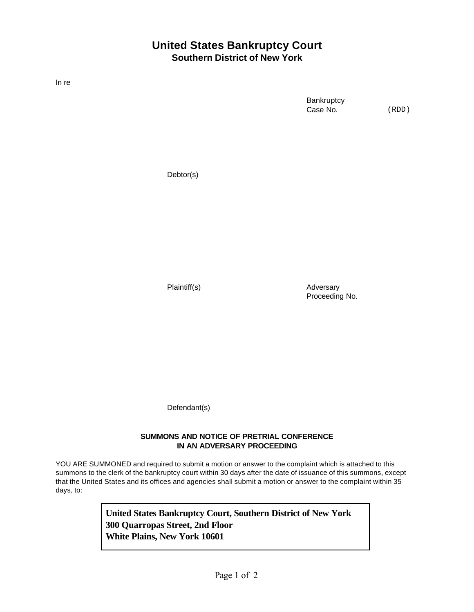## **United States Bankruptcy Court Southern District of New York**

In re

**Bankruptcy** Case No.

(RDD)

Debtor(s)

Plaintiff(s) and Adversary Proceeding No.

Defendant(s)

## **SUMMONS AND NOTICE OF PRETRIAL CONFERENCE IN AN ADVERSARY PROCEEDING**

YOU ARE SUMMONED and required to submit a motion or answer to the complaint which is attached to this summons to the clerk of the bankruptcy court within 30 days after the date of issuance of this summons, except that the United States and its offices and agencies shall submit a motion or answer to the complaint within 35 days, to:

> **United States Bankruptcy Court, Southern District of New York 300 Quarropas Street, 2nd Floor White Plains, New York 10601**